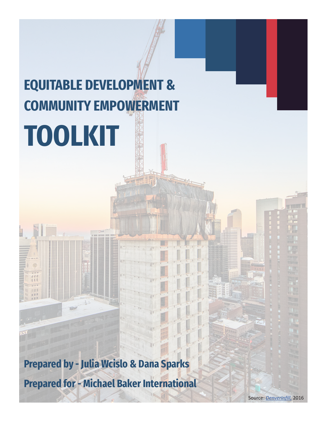## **EQUITABLE DEVELOPMENT & COMMUNITY EMPOWERMENT TOOLKIT**

**Prepared by - Julia Wcislo & Dana Sparks Prepared for - Michael Baker International**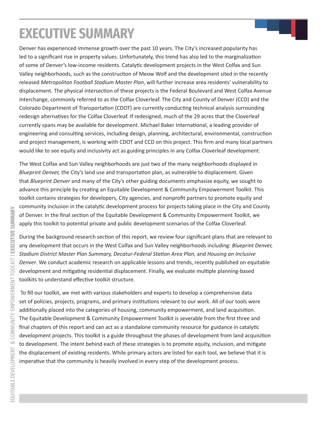## **EXECUTIVE SUMMARY**

Denver has experienced immense growth over the past 10 years. The City's increased popularity has led to a significant rise in property values. Unfortunately, this trend has also led to the marginalization of some of Denver's low-income residents. Catalytic development projects in the West Colfax and Sun Valley neighborhoods, such as the construction of Meow Wolf and the development sited in the recently released *Metropolitan Football Stadium Master Plan*, will further increase area residents' vulnerability to displacement. The physical intersection of these projects is the Federal Boulevard and West Colfax Avenue Interchange, commonly referred to as the Colfax Cloverleaf. The City and County of Denver (CCD) and the Colorado Department of Transportation (CDOT) are currently conducting technical analysis surrounding redesign alternatives for the Colfax Cloverleaf. If redesigned, much of the 29 acres that the Cloverleaf currently spans may be available for development. Michael Baker International, a leading provider of engineering and consulting services, including design, planning, architectural, environmental, construction and project management, is working with CDOT and CCD on this project. This firm and many local partners would like to see equity and inclusivity act as guiding principles in any Colfax Cloverleaf development.

The West Colfax and Sun Valley neighborhoods are just two of the many neighborhoods displayed in *Blueprint Denver,* the City's land use and transportation plan, as vulnerable to displacement. Given that *Blueprint Denver* and many of the City's other guiding documents emphasize equity, we sought to advance this principle by creating an Equitable Development & Community Empowerment Toolkit. This toolkit contains strategies for developers, City agencies, and nonprofit partners to promote equity and community inclusion in the catalytic development process for projects taking place in the City and County of Denver. In the final section of the Equitable Development & Community Empowerment Toolkit, we apply this toolkit to potential private and public development scenarios of the Colfax Cloverleaf.

During the background research section of this report, we review four significant plans that are relevant to any development that occurs in the West Colfax and Sun Valley neighborhoods including: *Blueprint Denver, Stadium District Master Plan Summary, Decatur-Federal Station Area Plan,* and *Housing an Inclusive Denver*. We conduct academic research on applicable lessons and trends, recently published on equitable development and mitigating residential displacement. Finally, we evaluate multiple planning-based toolkits to understand effective toolkit structure.

 To fill our toolkit, we met with various stakeholders and experts to develop a comprehensive data set of policies, projects, programs, and primary institutions relevant to our work. All of our tools were additionally placed into the categories of housing, community empowerment, and land acquisition. The Equitable Development & Community Empowerment Toolkit is severable from the first three and final chapters of this report and can act as a standalone community resource for guidance in catalytic development projects. This toolkit is a guide throughout the phases of development from land acquisition to development. The intent behind each of these strategies is to promote equity, inclusion, and mitigate the displacement of existing residents. While primary actors are listed for each tool, we believe that it is imperative that the community is heavily involved in every step of the development process.